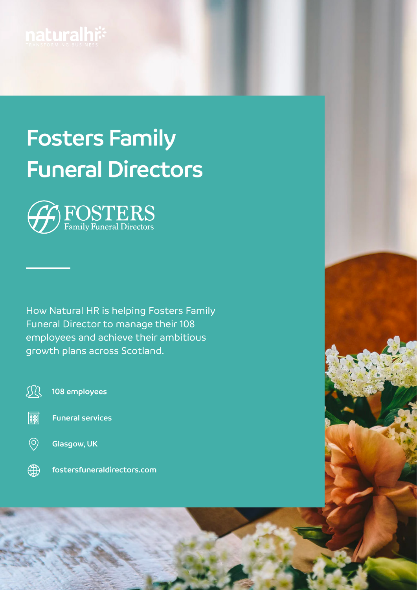

# **Fosters Family Funeral Directors**



How Natural HR is helping Fosters Family Funeral Director to manage their 108 employees and achieve their ambitious growth plans across Scotland.

现 **108 employees**

- || **Funeral services**
- $\circledcirc$ 
	- **Glasgow, UK**
- 4 **[fostersfuneraldirectors.com](http://fostersfuneraldirectors.com)**

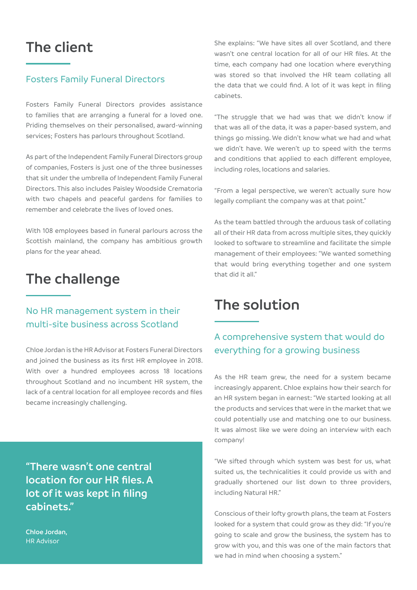# **The client**

#### Fosters Family Funeral Directors

Fosters Family Funeral Directors provides assistance to families that are arranging a funeral for a loved one. Priding themselves on their personalised, award-winning services; Fosters has parlours throughout Scotland.

As part of the Independent Family Funeral Directors group of companies, Fosters is just one of the three businesses that sit under the umbrella of Independent Family Funeral Directors. This also includes Paisley Woodside Crematoria with two chapels and peaceful gardens for families to remember and celebrate the lives of loved ones.

With 108 employees based in funeral parlours across the Scottish mainland, the company has ambitious growth plans for the year ahead.

# **The challenge**

#### No HR management system in their multi-site business across Scotland

Chloe Jordan is the HR Advisor at Fosters Funeral Directors and joined the business as its first HR employee in 2018. With over a hundred employees across 18 locations throughout Scotland and no incumbent HR system, the lack of a central location for all employee records and files became increasingly challenging.

**"There wasn't one central location for our HR files. A lot of it was kept in filing cabinets."**

**Chloe Jordan,** HR Advisor

She explains: "We have sites all over Scotland, and there wasn't one central location for all of our HR files. At the time, each company had one location where everything was stored so that involved the HR team collating all the data that we could find. A lot of it was kept in filing cabinets.

"The struggle that we had was that we didn't know if that was all of the data, it was a paper-based system, and things go missing. We didn't know what we had and what we didn't have. We weren't up to speed with the terms and conditions that applied to each different employee, including roles, locations and salaries.

"From a legal perspective, we weren't actually sure how legally compliant the company was at that point."

As the team battled through the arduous task of collating all of their HR data from across multiple sites, they quickly looked to software to streamline and facilitate the simple management of their employees: "We wanted something that would bring everything together and one system that did it all."

# **The solution**

#### A comprehensive system that would do everything for a growing business

As the HR team grew, the need for a system became increasingly apparent. Chloe explains how their search for an HR system began in earnest: "We started looking at all the products and services that were in the market that we could potentially use and matching one to our business. It was almost like we were doing an interview with each company!

"We sifted through which system was best for us, what suited us, the technicalities it could provide us with and gradually shortened our list down to three providers, including Natural HR."

Conscious of their lofty growth plans, the team at Fosters looked for a system that could grow as they did: "If you're going to scale and grow the business, the system has to grow with you, and this was one of the main factors that we had in mind when choosing a system."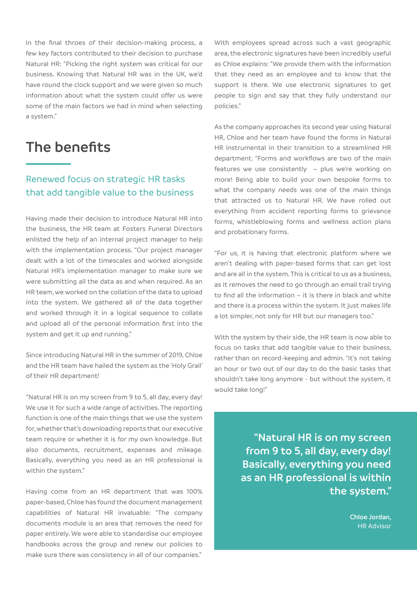In the final throes of their decision-making process, a few key factors contributed to their decision to purchase Natural HR: "Picking the right system was critical for our business. Knowing that Natural HR was in the UK, we'd have round the clock support and we were given so much information about what the system could offer us were some of the main factors we had in mind when selecting a system."

### **The benefits**

#### Renewed focus on strategic HR tasks that add tangible value to the business

Having made their decision to introduce Natural HR into the business, the HR team at Fosters Funeral Directors enlisted the help of an internal project manager to help with the implementation process. "Our project manager dealt with a lot of the timescales and worked alongside Natural HR's implementation manager to make sure we were submitting all the data as and when required. As an HR team, we worked on the collation of the data to upload into the system. We gathered all of the data together and worked through it in a logical sequence to collate and upload all of the personal information first into the system and get it up and running."

Since introducing Natural HR in the summer of 2019, Chloe and the HR team have hailed the system as the 'Holy Grail' of their HR department!

"Natural HR is on my screen from 9 to 5, all day, every day! We use it for such a wide range of activities. The reporting function is one of the main things that we use the system for, whether that's downloading reports that our executive team require or whether it is for my own knowledge. But also documents, recruitment, expenses and mileage. Basically, everything you need as an HR professional is within the system."

Having come from an HR department that was 100% paper-based, Chloe has found the document management capabilities of Natural HR invaluable: "The company documents module is an area that removes the need for paper entirely. We were able to standardise our employee handbooks across the group and renew our policies to make sure there was consistency in all of our companies."

With employees spread across such a vast geographic area, the electronic signatures have been incredibly useful as Chloe explains: "We provide them with the information that they need as an employee and to know that the support is there. We use electronic signatures to get people to sign and say that they fully understand our policies."

As the company approaches its second year using Natural HR, Chloe and her team have found the forms in Natural HR instrumental in their transition to a streamlined HR department. "Forms and workflows are two of the main features we use consistently – plus we're working on more! Being able to build your own bespoke forms to what the company needs was one of the main things that attracted us to Natural HR. We have rolled out everything from accident reporting forms to grievance forms, whistleblowing forms and wellness action plans and probationary forms.

"For us, it is having that electronic platform where we aren't dealing with paper-based forms that can get lost and are all in the system. This is critical to us as a business, as it removes the need to go through an email trail trying to find all the information – it is there in black and white and there is a process within the system. It just makes life a lot simpler, not only for HR but our managers too."

With the system by their side, the HR team is now able to focus on tasks that add tangible value to their business, rather than on record-keeping and admin. "It's not taking an hour or two out of our day to do the basic tasks that shouldn't take long anymore - but without the system, it would take long!"

> **"Natural HR is on my screen from 9 to 5, all day, every day! Basically, everything you need as an HR professional is within the system."**

> > **Chloe Jordan,** HR Advisor